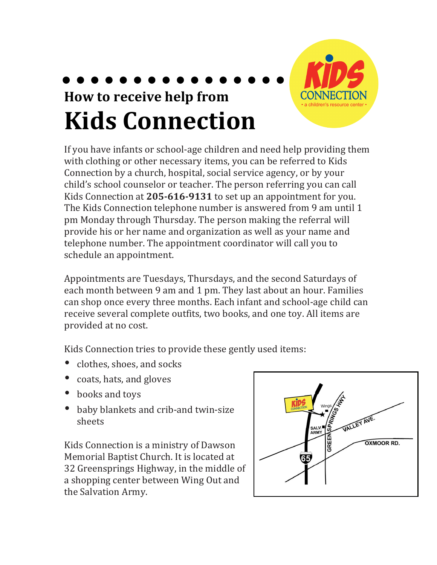## **How to receive help from Kids Connection**

If you have infants or school-age children and need help providing them with clothing or other necessary items, you can be referred to Kids Connection by a church, hospital, social service agency, or by your child's school counselor or teacher. The person referring you can call Kids Connection at 205-616-9131 to set up an appointment for you. The Kids Connection telephone number is answered from 9 am until 1 pm Monday through Thursday. The person making the referral will provide his or her name and organization as well as your name and telephone number. The appointment coordinator will call you to schedule an appointment.

Appointments are Tuesdays, Thursdays, and the second Saturdays of each month between 9 am and 1 pm. They last about an hour. Families can shop once every three months. Each infant and school-age child can receive several complete outfits, two books, and one toy. All items are provided at no cost.

Kids Connection tries to provide these gently used items:

- clothes, shoes, and socks
- coats, hats, and gloves
- books and toys
- baby blankets and crib-and twin-size sheets

Kids Connection is a ministry of Dawson Memorial Baptist Church. It is located at 32 Greensprings Highway, in the middle of a shopping center between Wing Out and the Salvation Army.